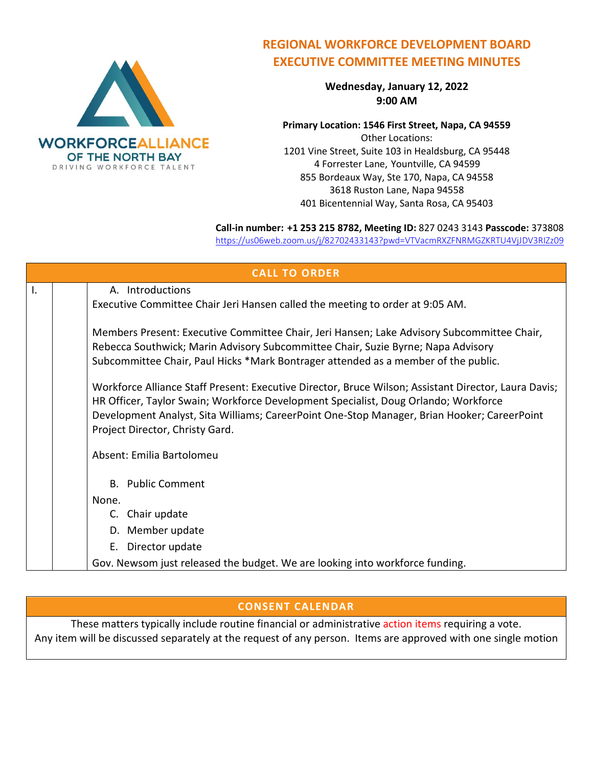

## **REGIONAL WORKFORCE DEVELOPMENT BOARD EXECUTIVE COMMITTEE MEETING MINUTES**

**Wednesday, January 12, 2022 9:00 AM**

**Primary Location: 1546 First Street, Napa, CA 94559** Other Locations: 1201 Vine Street, Suite 103 in Healdsburg, CA 95448 4 Forrester Lane, Yountville, CA 94599 855 Bordeaux Way, Ste 170, Napa, CA 94558 3618 Ruston Lane, Napa 94558 401 Bicentennial Way, Santa Rosa, CA 95403

**Call-in number: +1 253 215 8782, Meeting ID:** 827 0243 3143 **Passcode:** 373808 <https://us06web.zoom.us/j/82702433143?pwd=VTVacmRXZFNRMGZKRTU4VjJDV3RIZz09>

| <b>CALL TO ORDER</b> |                                                                                                                                                                                                                                                                                                                               |  |  |  |
|----------------------|-------------------------------------------------------------------------------------------------------------------------------------------------------------------------------------------------------------------------------------------------------------------------------------------------------------------------------|--|--|--|
| $\mathsf{I}$ .       | A. Introductions<br>Executive Committee Chair Jeri Hansen called the meeting to order at 9:05 AM.                                                                                                                                                                                                                             |  |  |  |
|                      | Members Present: Executive Committee Chair, Jeri Hansen; Lake Advisory Subcommittee Chair,<br>Rebecca Southwick; Marin Advisory Subcommittee Chair, Suzie Byrne; Napa Advisory<br>Subcommittee Chair, Paul Hicks *Mark Bontrager attended as a member of the public.                                                          |  |  |  |
|                      | Workforce Alliance Staff Present: Executive Director, Bruce Wilson; Assistant Director, Laura Davis;<br>HR Officer, Taylor Swain; Workforce Development Specialist, Doug Orlando; Workforce<br>Development Analyst, Sita Williams; CareerPoint One-Stop Manager, Brian Hooker; CareerPoint<br>Project Director, Christy Gard. |  |  |  |
|                      | Absent: Emilia Bartolomeu                                                                                                                                                                                                                                                                                                     |  |  |  |
|                      | <b>B.</b> Public Comment                                                                                                                                                                                                                                                                                                      |  |  |  |
|                      | None.                                                                                                                                                                                                                                                                                                                         |  |  |  |
|                      | C. Chair update                                                                                                                                                                                                                                                                                                               |  |  |  |
|                      | D. Member update                                                                                                                                                                                                                                                                                                              |  |  |  |
|                      | E. Director update                                                                                                                                                                                                                                                                                                            |  |  |  |
|                      | Gov. Newsom just released the budget. We are looking into workforce funding.                                                                                                                                                                                                                                                  |  |  |  |

## **CONSENT CALENDAR**

These matters typically include routine financial or administrative action items requiring a vote. Any item will be discussed separately at the request of any person. Items are approved with one single motion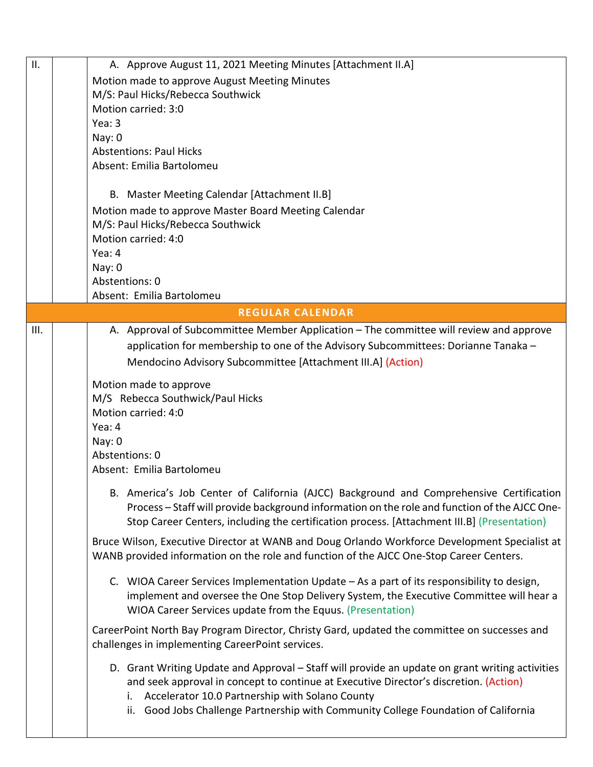| II.  | A. Approve August 11, 2021 Meeting Minutes [Attachment II.A]                                    |
|------|-------------------------------------------------------------------------------------------------|
|      | Motion made to approve August Meeting Minutes                                                   |
|      | M/S: Paul Hicks/Rebecca Southwick                                                               |
|      | Motion carried: 3:0                                                                             |
|      | Yea: $3$                                                                                        |
|      | Nay: 0                                                                                          |
|      | <b>Abstentions: Paul Hicks</b>                                                                  |
|      | Absent: Emilia Bartolomeu                                                                       |
|      |                                                                                                 |
|      | B. Master Meeting Calendar [Attachment II.B]                                                    |
|      | Motion made to approve Master Board Meeting Calendar                                            |
|      | M/S: Paul Hicks/Rebecca Southwick                                                               |
|      | Motion carried: 4:0                                                                             |
|      | Yea: 4                                                                                          |
|      | Nay: 0                                                                                          |
|      | Abstentions: 0                                                                                  |
|      | Absent: Emilia Bartolomeu                                                                       |
|      | <b>REGULAR CALENDAR</b>                                                                         |
| III. | A. Approval of Subcommittee Member Application – The committee will review and approve          |
|      | application for membership to one of the Advisory Subcommittees: Dorianne Tanaka -              |
|      | Mendocino Advisory Subcommittee [Attachment III.A] (Action)                                     |
|      |                                                                                                 |
|      | Motion made to approve                                                                          |
|      | M/S Rebecca Southwick/Paul Hicks                                                                |
|      | Motion carried: 4:0                                                                             |
|      | Yea: 4                                                                                          |
|      | Nay: 0                                                                                          |
|      | Abstentions: 0                                                                                  |
|      | Absent: Emilia Bartolomeu                                                                       |
|      | B. America's Job Center of California (AJCC) Background and Comprehensive Certification         |
|      | Process - Staff will provide background information on the role and function of the AJCC One-   |
|      | Stop Career Centers, including the certification process. [Attachment III.B] (Presentation)     |
|      |                                                                                                 |
|      | Bruce Wilson, Executive Director at WANB and Doug Orlando Workforce Development Specialist at   |
|      | WANB provided information on the role and function of the AJCC One-Stop Career Centers.         |
|      | C. WIOA Career Services Implementation Update - As a part of its responsibility to design,      |
|      | implement and oversee the One Stop Delivery System, the Executive Committee will hear a         |
|      | WIOA Career Services update from the Equus. (Presentation)                                      |
|      |                                                                                                 |
|      | CareerPoint North Bay Program Director, Christy Gard, updated the committee on successes and    |
|      | challenges in implementing CareerPoint services.                                                |
|      | D. Grant Writing Update and Approval - Staff will provide an update on grant writing activities |
|      | and seek approval in concept to continue at Executive Director's discretion. (Action)           |
|      | Accelerator 10.0 Partnership with Solano County<br>i.                                           |
|      | ii. Good Jobs Challenge Partnership with Community College Foundation of California             |
|      |                                                                                                 |
|      |                                                                                                 |